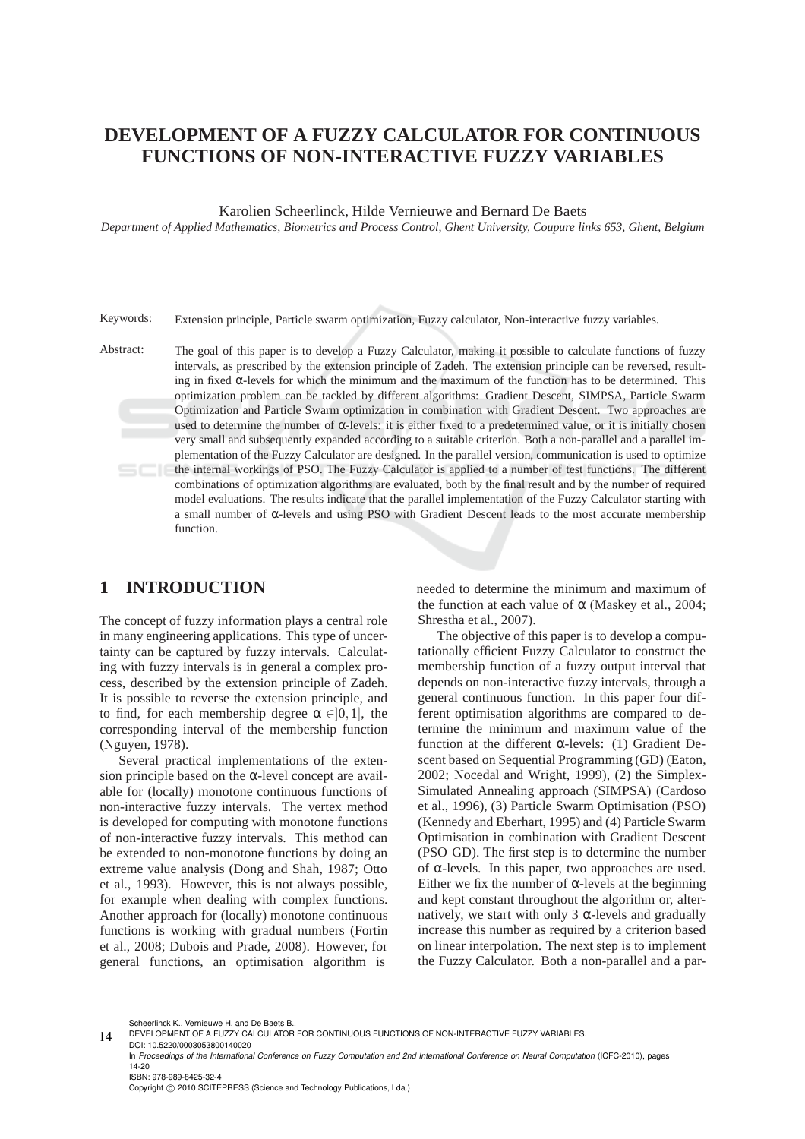# **DEVELOPMENT OF A FUZZY CALCULATOR FOR CONTINUOUS FUNCTIONS OF NON-INTERACTIVE FUZZY VARIABLES**

Karolien Scheerlinck, Hilde Vernieuwe and Bernard De Baets

*Department of Applied Mathematics, Biometrics and Process Control, Ghent University, Coupure links 653, Ghent, Belgium*

Keywords: Extension principle, Particle swarm optimization, Fuzzy calculator, Non-interactive fuzzy variables.

Abstract: The goal of this paper is to develop a Fuzzy Calculator, making it possible to calculate functions of fuzzy intervals, as prescribed by the extension principle of Zadeh. The extension principle can be reversed, resulting in fixed α-levels for which the minimum and the maximum of the function has to be determined. This optimization problem can be tackled by different algorithms: Gradient Descent, SIMPSA, Particle Swarm Optimization and Particle Swarm optimization in combination with Gradient Descent. Two approaches are used to determine the number of  $\alpha$ -levels: it is either fixed to a predetermined value, or it is initially chosen very small and subsequently expanded according to a suitable criterion. Both a non-parallel and a parallel implementation of the Fuzzy Calculator are designed. In the parallel version, communication is used to optimize the internal workings of PSO. The Fuzzy Calculator is applied to a number of test functions. The different combinations of optimization algorithms are evaluated, both by the final result and by the number of required model evaluations. The results indicate that the parallel implementation of the Fuzzy Calculator starting with a small number of α-levels and using PSO with Gradient Descent leads to the most accurate membership function.

### **1 INTRODUCTION**

The concept of fuzzy information plays a central role in many engineering applications. This type of uncertainty can be captured by fuzzy intervals. Calculating with fuzzy intervals is in general a complex process, described by the extension principle of Zadeh. It is possible to reverse the extension principle, and to find, for each membership degree  $\alpha \in ]0,1]$ , the corresponding interval of the membership function (Nguyen, 1978).

Several practical implementations of the extension principle based on the  $\alpha$ -level concept are available for (locally) monotone continuous functions of non-interactive fuzzy intervals. The vertex method is developed for computing with monotone functions of non-interactive fuzzy intervals. This method can be extended to non-monotone functions by doing an extreme value analysis (Dong and Shah, 1987; Otto et al., 1993). However, this is not always possible, for example when dealing with complex functions. Another approach for (locally) monotone continuous functions is working with gradual numbers (Fortin et al., 2008; Dubois and Prade, 2008). However, for general functions, an optimisation algorithm is

needed to determine the minimum and maximum of the function at each value of  $\alpha$  (Maskey et al., 2004; Shrestha et al., 2007).

The objective of this paper is to develop a computationally efficient Fuzzy Calculator to construct the membership function of a fuzzy output interval that depends on non-interactive fuzzy intervals, through a general continuous function. In this paper four different optimisation algorithms are compared to determine the minimum and maximum value of the function at the different α-levels: (1) Gradient Descent based on Sequential Programming (GD) (Eaton, 2002; Nocedal and Wright, 1999), (2) the Simplex-Simulated Annealing approach (SIMPSA) (Cardoso et al., 1996), (3) Particle Swarm Optimisation (PSO) (Kennedy and Eberhart, 1995) and (4) Particle Swarm Optimisation in combination with Gradient Descent (PSO GD). The first step is to determine the number of α-levels. In this paper, two approaches are used. Either we fix the number of  $\alpha$ -levels at the beginning and kept constant throughout the algorithm or, alternatively, we start with only 3  $\alpha$ -levels and gradually increase this number as required by a criterion based on linear interpolation. The next step is to implement the Fuzzy Calculator. Both a non-parallel and a par-

Scheerlinck K., Vernieuwe H. and De Baets B..

Copyright © 2010 SCITEPRESS (Science and Technology Publications, Lda.)

<sup>14</sup> DEVELOPMENT OF A FUZZY CALCULATOR FOR CONTINUOUS FUNCTIONS OF NON-INTERACTIVE FUZZY VARIABLES. DOI: 10.5220/0003053800140020

In *Proceedings of the International Conference on Fuzzy Computation and 2nd International Conference on Neural Computation* (ICFC-2010), pages 14-20 ISBN: 978-989-8425-32-4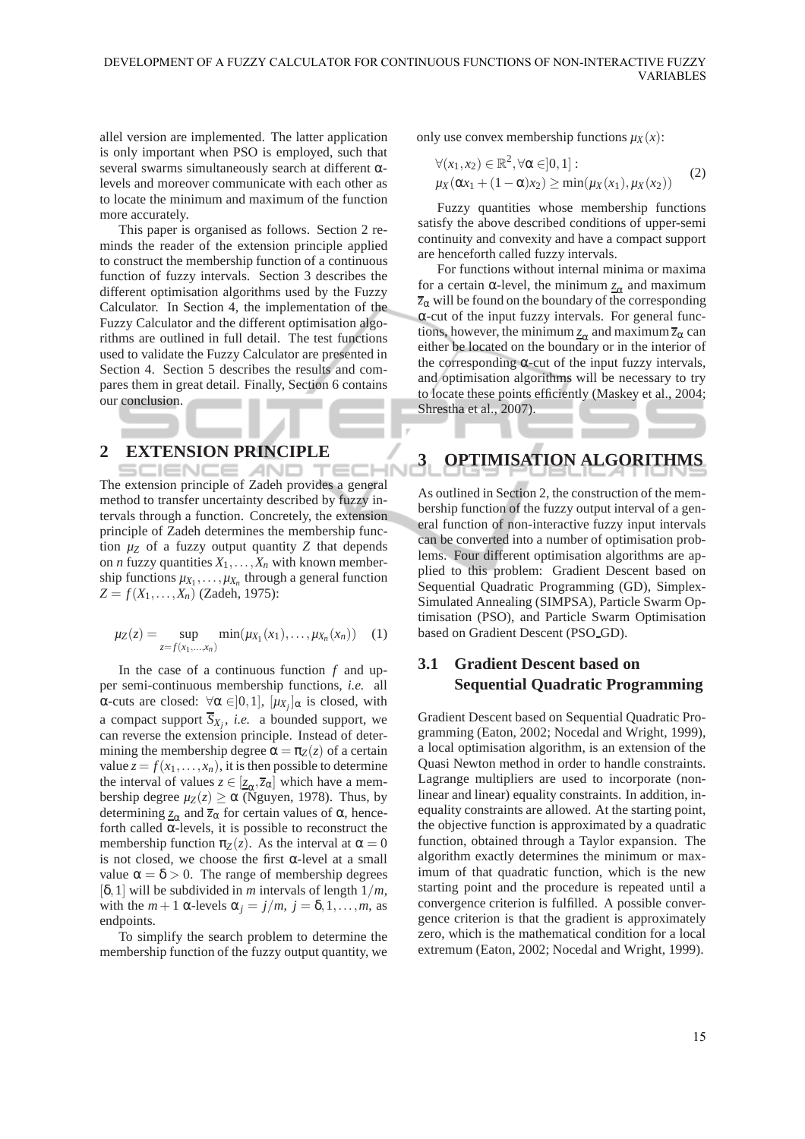allel version are implemented. The latter application is only important when PSO is employed, such that several swarms simultaneously search at different αlevels and moreover communicate with each other as to locate the minimum and maximum of the function more accurately.

This paper is organised as follows. Section 2 reminds the reader of the extension principle applied to construct the membership function of a continuous function of fuzzy intervals. Section 3 describes the different optimisation algorithms used by the Fuzzy Calculator. In Section 4, the implementation of the Fuzzy Calculator and the different optimisation algorithms are outlined in full detail. The test functions used to validate the Fuzzy Calculator are presented in Section 4. Section 5 describes the results and compares them in great detail. Finally, Section 6 contains our conclusion.

## **2 EXTENSION PRINCIPLE**

**SCIENCE** AND. The extension principle of Zadeh provides a general method to transfer uncertainty described by fuzzy intervals through a function. Concretely, the extension principle of Zadeh determines the membership function  $\mu$ *z* of a fuzzy output quantity *Z* that depends on *n* fuzzy quantities  $X_1, \ldots, X_n$  with known membership functions  $\mu_{X_1}, \ldots, \mu_{X_n}$  through a general function  $Z = f(X_1, \ldots, X_n)$  (Zadeh, 1975):

$$
\mu_Z(z) = \sup_{z = f(x_1, ..., x_n)} \min(\mu_{X_1}(x_1), ..., \mu_{X_n}(x_n)) \quad (1)
$$

In the case of a continuous function *f* and upper semi-continuous membership functions, *i.e.* all α-cuts are closed: ∀α ∈[0,1],  $[µ_{X_j}]$ <sub>α</sub> is closed, with a compact support  $\overline{S}_{X_j}$ , *i.e.* a bounded support, we can reverse the extension principle. Instead of determining the membership degree  $\alpha = \pi_Z(z)$  of a certain value  $z = f(x_1, \ldots, x_n)$ , it is then possible to determine the interval of values  $z \in [\underline{z}_{\alpha}, \overline{z}_{\alpha}]$  which have a membership degree  $\mu_Z(z) \ge \alpha$  (Nguyen, 1978). Thus, by determining  $\underline{z}_{\alpha}$  and  $\overline{z}_{\alpha}$  for certain values of  $\alpha$ , henceforth called  $\alpha$ -levels, it is possible to reconstruct the membership function  $\pi_Z(z)$ . As the interval at  $\alpha = 0$ is not closed, we choose the first  $\alpha$ -level at a small value  $\alpha = \delta > 0$ . The range of membership degrees [δ,1] will be subdivided in *m* intervals of length 1/*m*, with the  $m+1$  α-levels  $\alpha_j = j/m$ ,  $j = \delta, 1, \ldots, m$ , as endpoints.

To simplify the search problem to determine the membership function of the fuzzy output quantity, we only use convex membership functions  $\mu_X(x)$ :

$$
\forall (x_1, x_2) \in \mathbb{R}^2, \forall \alpha \in ]0, 1]:
$$
  

$$
\mu_X(\alpha x_1 + (1 - \alpha)x_2) \ge \min(\mu_X(x_1), \mu_X(x_2))
$$
 (2)

Fuzzy quantities whose membership functions satisfy the above described conditions of upper-semi continuity and convexity and have a compact support are henceforth called fuzzy intervals.

For functions without internal minima or maxima for a certain α-level, the minimum  $z<sub>α</sub>$  and maximum</u> *z*<sup>α</sup> will be found on the boundary of the corresponding α-cut of the input fuzzy intervals. For general functions, however, the minimum  $\underline{z}_{\alpha}$  and maximum  $\overline{z}_{\alpha}$  can either be located on the boundary or in the interior of the corresponding  $\alpha$ -cut of the input fuzzy intervals, and optimisation algorithms will be necessary to try to locate these points efficiently (Maskey et al., 2004; Shrestha et al., 2007).

# **3 OPTIMISATION ALGORITHMS**

As outlined in Section 2, the construction of the membership function of the fuzzy output interval of a general function of non-interactive fuzzy input intervals can be converted into a number of optimisation problems. Four different optimisation algorithms are applied to this problem: Gradient Descent based on Sequential Quadratic Programming (GD), Simplex-Simulated Annealing (SIMPSA), Particle Swarm Optimisation (PSO), and Particle Swarm Optimisation based on Gradient Descent (PSO GD).

## **3.1 Gradient Descent based on Sequential Quadratic Programming**

Gradient Descent based on Sequential Quadratic Programming (Eaton, 2002; Nocedal and Wright, 1999), a local optimisation algorithm, is an extension of the Quasi Newton method in order to handle constraints. Lagrange multipliers are used to incorporate (nonlinear and linear) equality constraints. In addition, inequality constraints are allowed. At the starting point, the objective function is approximated by a quadratic function, obtained through a Taylor expansion. The algorithm exactly determines the minimum or maximum of that quadratic function, which is the new starting point and the procedure is repeated until a convergence criterion is fulfilled. A possible convergence criterion is that the gradient is approximately zero, which is the mathematical condition for a local extremum (Eaton, 2002; Nocedal and Wright, 1999).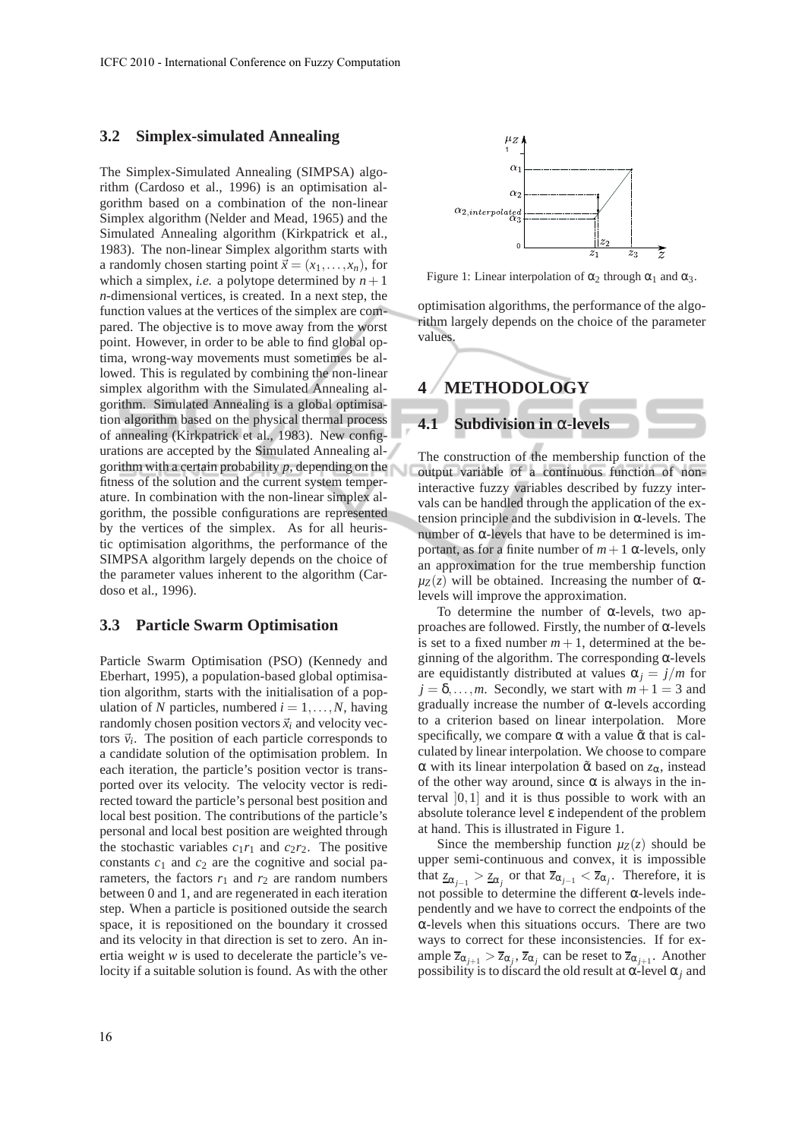#### **3.2 Simplex-simulated Annealing**

The Simplex-Simulated Annealing (SIMPSA) algorithm (Cardoso et al., 1996) is an optimisation algorithm based on a combination of the non-linear Simplex algorithm (Nelder and Mead, 1965) and the Simulated Annealing algorithm (Kirkpatrick et al., 1983). The non-linear Simplex algorithm starts with a randomly chosen starting point  $\vec{x} = (x_1, \ldots, x_n)$ , for which a simplex, *i.e.* a polytope determined by  $n + 1$ *n*-dimensional vertices, is created. In a next step, the function values at the vertices of the simplex are compared. The objective is to move away from the worst point. However, in order to be able to find global optima, wrong-way movements must sometimes be allowed. This is regulated by combining the non-linear simplex algorithm with the Simulated Annealing algorithm. Simulated Annealing is a global optimisation algorithm based on the physical thermal process of annealing (Kirkpatrick et al., 1983). New configurations are accepted by the Simulated Annealing algorithm with a certain probability *p*, depending on the fitness of the solution and the current system temperature. In combination with the non-linear simplex algorithm, the possible configurations are represented by the vertices of the simplex. As for all heuristic optimisation algorithms, the performance of the SIMPSA algorithm largely depends on the choice of the parameter values inherent to the algorithm (Cardoso et al., 1996).

#### **3.3 Particle Swarm Optimisation**

Particle Swarm Optimisation (PSO) (Kennedy and Eberhart, 1995), a population-based global optimisation algorithm, starts with the initialisation of a population of *N* particles, numbered  $i = 1, \ldots, N$ , having randomly chosen position vectors  $\vec{x}_i$  and velocity vectors  $\vec{v}_i$ . The position of each particle corresponds to a candidate solution of the optimisation problem. In each iteration, the particle's position vector is transported over its velocity. The velocity vector is redirected toward the particle's personal best position and local best position. The contributions of the particle's personal and local best position are weighted through the stochastic variables  $c_1r_1$  and  $c_2r_2$ . The positive constants *c*<sup>1</sup> and *c*<sup>2</sup> are the cognitive and social parameters, the factors  $r_1$  and  $r_2$  are random numbers between 0 and 1, and are regenerated in each iteration step. When a particle is positioned outside the search space, it is repositioned on the boundary it crossed and its velocity in that direction is set to zero. An inertia weight *w* is used to decelerate the particle's velocity if a suitable solution is found. As with the other



Figure 1: Linear interpolation of  $\alpha_2$  through  $\alpha_1$  and  $\alpha_3$ .

optimisation algorithms, the performance of the algorithm largely depends on the choice of the parameter values



The construction of the membership function of the output variable of a continuous function of noninteractive fuzzy variables described by fuzzy intervals can be handled through the application of the extension principle and the subdivision in α-levels. The number of  $\alpha$ -levels that have to be determined is important, as for a finite number of  $m+1$  α-levels, only an approximation for the true membership function  $\mu_Z(z)$  will be obtained. Increasing the number of  $\alpha$ levels will improve the approximation.

To determine the number of α-levels, two approaches are followed. Firstly, the number of α-levels is set to a fixed number  $m + 1$ , determined at the beginning of the algorithm. The corresponding  $\alpha$ -levels are equidistantly distributed at values  $\alpha_i = j/m$  for  $j = \delta, \ldots, m$ . Secondly, we start with  $m + 1 = 3$  and gradually increase the number of  $\alpha$ -levels according to a criterion based on linear interpolation. More specifically, we compare  $\alpha$  with a value  $\tilde{\alpha}$  that is calculated by linear interpolation. We choose to compare α with its linear interpolation α˜ based on *z*α, instead of the other way around, since  $\alpha$  is always in the interval  $[0,1]$  and it is thus possible to work with an absolute tolerance level ε independent of the problem at hand. This is illustrated in Figure 1.

Since the membership function  $\mu_Z(z)$  should be upper semi-continuous and convex, it is impossible that  $z_{\alpha_{j-1}} > z_{\alpha_j}$  or that  $\overline{z}_{\alpha_{j-1}} < \overline{z}_{\alpha_j}$ . Therefore, it is not possible to determine the different α-levels independently and we have to correct the endpoints of the α-levels when this situations occurs. There are two ways to correct for these inconsistencies. If for example  $\overline{z}_{\alpha_{j+1}} > \overline{z}_{\alpha_j}$ ,  $\overline{z}_{\alpha_j}$  can be reset to  $\overline{z}_{\alpha_{j+1}}$ . Another possibility is to discard the old result at  $\alpha$ -level  $\alpha_i$  and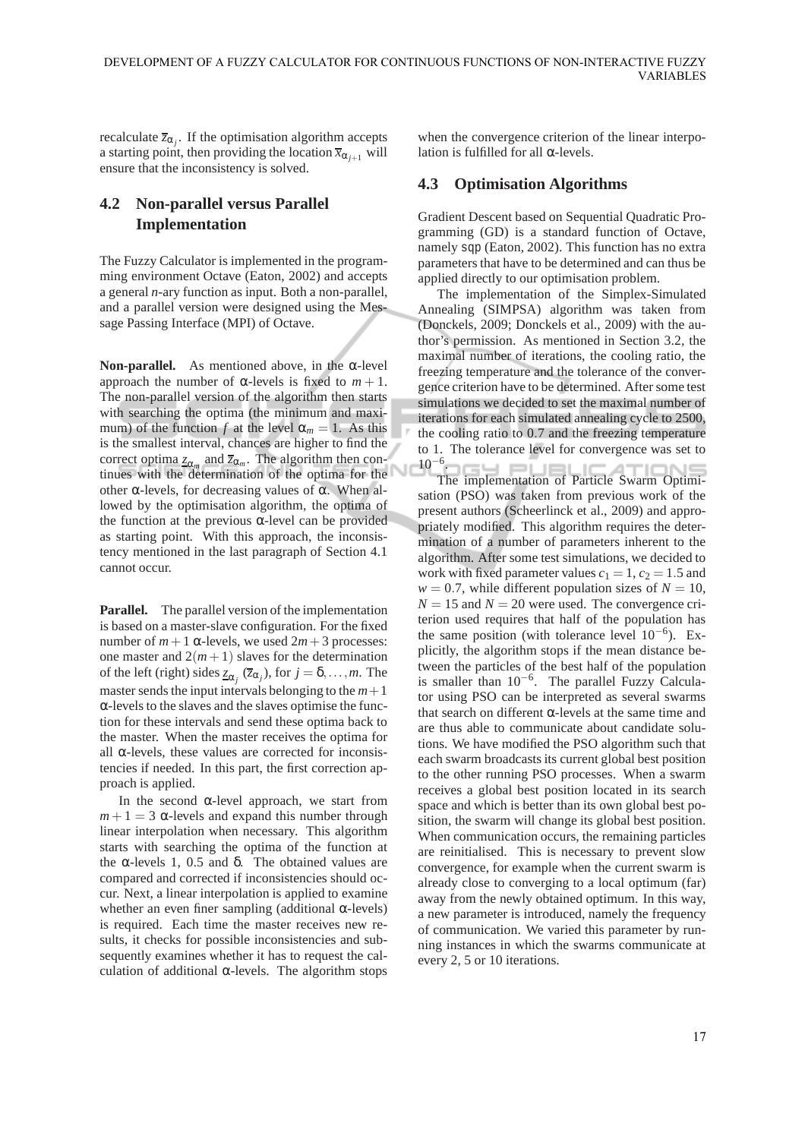recalculate  $\overline{z}_{\alpha_j}$ . If the optimisation algorithm accepts a starting point, then providing the location  $\overline{x}_{\alpha_{i+1}}$  will ensure that the inconsistency is solved.

## **4.2 Non-parallel versus Parallel Implementation**

The Fuzzy Calculator is implemented in the programming environment Octave (Eaton, 2002) and accepts a general *n*-ary function as input. Both a non-parallel, and a parallel version were designed using the Message Passing Interface (MPI) of Octave.

**Non-parallel.** As mentioned above, in the α-level approach the number of  $\alpha$ -levels is fixed to  $m + 1$ . The non-parallel version of the algorithm then starts with searching the optima (the minimum and maximum) of the function *f* at the level  $\alpha_m = 1$ . As this is the smallest interval, chances are higher to find the correct optima  $z_{\alpha_m}$  and  $\overline{z}_{\alpha_m}$ . The algorithm then continues with the determination of the optima for the other α-levels, for decreasing values of α. When allowed by the optimisation algorithm, the optima of the function at the previous  $α$ -level can be provided as starting point. With this approach, the inconsistency mentioned in the last paragraph of Section 4.1 cannot occur.

**Parallel.** The parallel version of the implementation is based on a master-slave configuration. For the fixed number of  $m+1$   $\alpha$ -levels, we used  $2m+3$  processes: one master and  $2(m+1)$  slaves for the determination of the left (right) sides  $\underline{z}_{\alpha_j}(\overline{z}_{\alpha_j})$ , for  $j = \delta, ..., m$ . The master sends the input intervals belonging to the  $m+1$ α-levels to the slaves and the slaves optimise the function for these intervals and send these optima back to the master. When the master receives the optima for all  $\alpha$ -levels, these values are corrected for inconsistencies if needed. In this part, the first correction approach is applied.

In the second  $\alpha$ -level approach, we start from  $m + 1 = 3$   $\alpha$ -levels and expand this number through linear interpolation when necessary. This algorithm starts with searching the optima of the function at the α-levels 1, 0.5 and  $\delta$ . The obtained values are compared and corrected if inconsistencies should occur. Next, a linear interpolation is applied to examine whether an even finer sampling (additional  $\alpha$ -levels) is required. Each time the master receives new results, it checks for possible inconsistencies and subsequently examines whether it has to request the calculation of additional  $\alpha$ -levels. The algorithm stops

when the convergence criterion of the linear interpolation is fulfilled for all α-levels.

### **4.3 Optimisation Algorithms**

Gradient Descent based on Sequential Quadratic Programming (GD) is a standard function of Octave, namely sqp (Eaton, 2002). This function has no extra parameters that have to be determined and can thus be applied directly to our optimisation problem.

The implementation of the Simplex-Simulated Annealing (SIMPSA) algorithm was taken from (Donckels, 2009; Donckels et al., 2009) with the author's permission. As mentioned in Section 3.2, the maximal number of iterations, the cooling ratio, the freezing temperature and the tolerance of the convergence criterion have to be determined. After some test simulations we decided to set the maximal number of iterations for each simulated annealing cycle to 2500, the cooling ratio to 0.7 and the freezing temperature to 1. The tolerance level for convergence was set to  $10^{-6}$ . .

The implementation of Particle Swarm Optimisation (PSO) was taken from previous work of the present authors (Scheerlinck et al., 2009) and appropriately modified. This algorithm requires the determination of a number of parameters inherent to the algorithm. After some test simulations, we decided to work with fixed parameter values  $c_1 = 1$ ,  $c_2 = 1.5$  and  $w = 0.7$ , while different population sizes of  $N = 10$ ,  $N = 15$  and  $N = 20$  were used. The convergence criterion used requires that half of the population has the same position (with tolerance level  $10^{-6}$ ). Explicitly, the algorithm stops if the mean distance between the particles of the best half of the population is smaller than 10−<sup>6</sup> . The parallel Fuzzy Calculator using PSO can be interpreted as several swarms that search on different  $α$ -levels at the same time and are thus able to communicate about candidate solutions. We have modified the PSO algorithm such that each swarm broadcasts its current global best position to the other running PSO processes. When a swarm receives a global best position located in its search space and which is better than its own global best position, the swarm will change its global best position. When communication occurs, the remaining particles are reinitialised. This is necessary to prevent slow convergence, for example when the current swarm is already close to converging to a local optimum (far) away from the newly obtained optimum. In this way, a new parameter is introduced, namely the frequency of communication. We varied this parameter by running instances in which the swarms communicate at every 2, 5 or 10 iterations.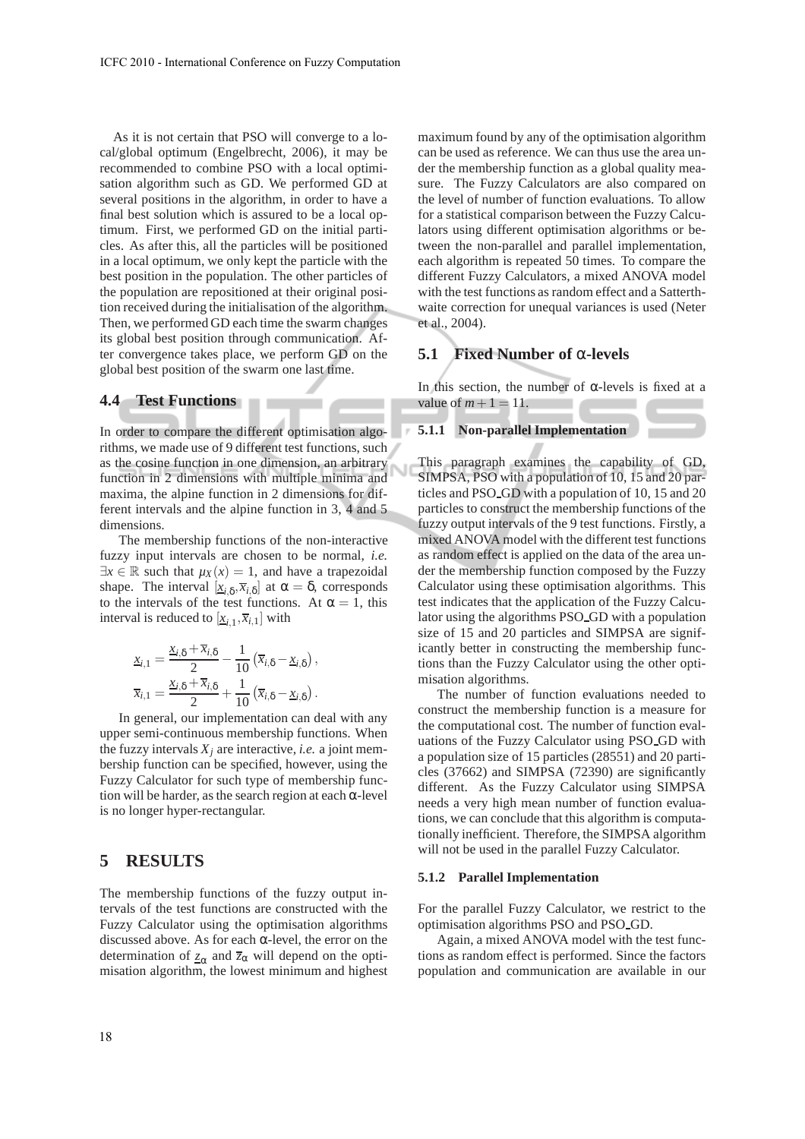As it is not certain that PSO will converge to a local/global optimum (Engelbrecht, 2006), it may be recommended to combine PSO with a local optimisation algorithm such as GD. We performed GD at several positions in the algorithm, in order to have a final best solution which is assured to be a local optimum. First, we performed GD on the initial particles. As after this, all the particles will be positioned in a local optimum, we only kept the particle with the best position in the population. The other particles of the population are repositioned at their original position received during the initialisation of the algorithm. Then, we performed GD each time the swarm changes its global best position through communication. After convergence takes place, we perform GD on the global best position of the swarm one last time.

#### **4.4 Test Functions**

In order to compare the different optimisation algorithms, we made use of 9 different test functions, such as the cosine function in one dimension, an arbitrary function in 2 dimensions with multiple minima and maxima, the alpine function in 2 dimensions for different intervals and the alpine function in 3, 4 and 5 dimensions.

The membership functions of the non-interactive fuzzy input intervals are chosen to be normal, *i.e.*  $\exists x \in \mathbb{R}$  such that  $\mu_X(x) = 1$ , and have a trapezoidal shape. The interval  $[\underline{x}_{i,\delta}, \overline{x}_{i,\delta}]$  at  $\alpha = \delta$ , corresponds to the intervals of the test functions. At  $\alpha = 1$ , this interval is reduced to  $[\underline{x}_{i,1}, \overline{x}_{i,1}]$  with

$$
\underline{x}_{i,1} = \frac{\underline{x}_{i,\delta} + \overline{x}_{i,\delta}}{2} - \frac{1}{10} (\overline{x}_{i,\delta} - \underline{x}_{i,\delta}),
$$
  

$$
\overline{x}_{i,1} = \frac{\underline{x}_{i,\delta} + \overline{x}_{i,\delta}}{2} + \frac{1}{10} (\overline{x}_{i,\delta} - \underline{x}_{i,\delta}).
$$

In general, our implementation can deal with any upper semi-continuous membership functions. When the fuzzy intervals  $X_i$  are interactive, *i.e.* a joint membership function can be specified, however, using the Fuzzy Calculator for such type of membership function will be harder, as the search region at each  $\alpha$ -level is no longer hyper-rectangular.

### **5 RESULTS**

The membership functions of the fuzzy output intervals of the test functions are constructed with the Fuzzy Calculator using the optimisation algorithms discussed above. As for each  $\alpha$ -level, the error on the determination of  $z_{\alpha}$  and  $\overline{z}_{\alpha}$  will depend on the optimisation algorithm, the lowest minimum and highest maximum found by any of the optimisation algorithm can be used as reference. We can thus use the area under the membership function as a global quality measure. The Fuzzy Calculators are also compared on the level of number of function evaluations. To allow for a statistical comparison between the Fuzzy Calculators using different optimisation algorithms or between the non-parallel and parallel implementation, each algorithm is repeated 50 times. To compare the different Fuzzy Calculators, a mixed ANOVA model with the test functions as random effect and a Satterthwaite correction for unequal variances is used (Neter et al., 2004).

#### **5.1 Fixed Number of** α**-levels**

In this section, the number of  $\alpha$ -levels is fixed at a value of  $m+1 = 11$ .

#### **5.1.1 Non-parallel Implementation**

This paragraph examines the capability of GD, SIMPSA, PSO with a population of 10, 15 and 20 particles and PSO GD with a population of 10, 15 and 20 particles to construct the membership functions of the fuzzy output intervals of the 9 test functions. Firstly, a mixed ANOVA model with the different test functions as random effect is applied on the data of the area under the membership function composed by the Fuzzy Calculator using these optimisation algorithms. This test indicates that the application of the Fuzzy Calculator using the algorithms PSO GD with a population size of 15 and 20 particles and SIMPSA are significantly better in constructing the membership functions than the Fuzzy Calculator using the other optimisation algorithms.

The number of function evaluations needed to construct the membership function is a measure for the computational cost. The number of function evaluations of the Fuzzy Calculator using PSO GD with a population size of 15 particles (28551) and 20 particles (37662) and SIMPSA (72390) are significantly different. As the Fuzzy Calculator using SIMPSA needs a very high mean number of function evaluations, we can conclude that this algorithm is computationally inefficient. Therefore, the SIMPSA algorithm will not be used in the parallel Fuzzy Calculator.

#### **5.1.2 Parallel Implementation**

For the parallel Fuzzy Calculator, we restrict to the optimisation algorithms PSO and PSO GD.

Again, a mixed ANOVA model with the test functions as random effect is performed. Since the factors population and communication are available in our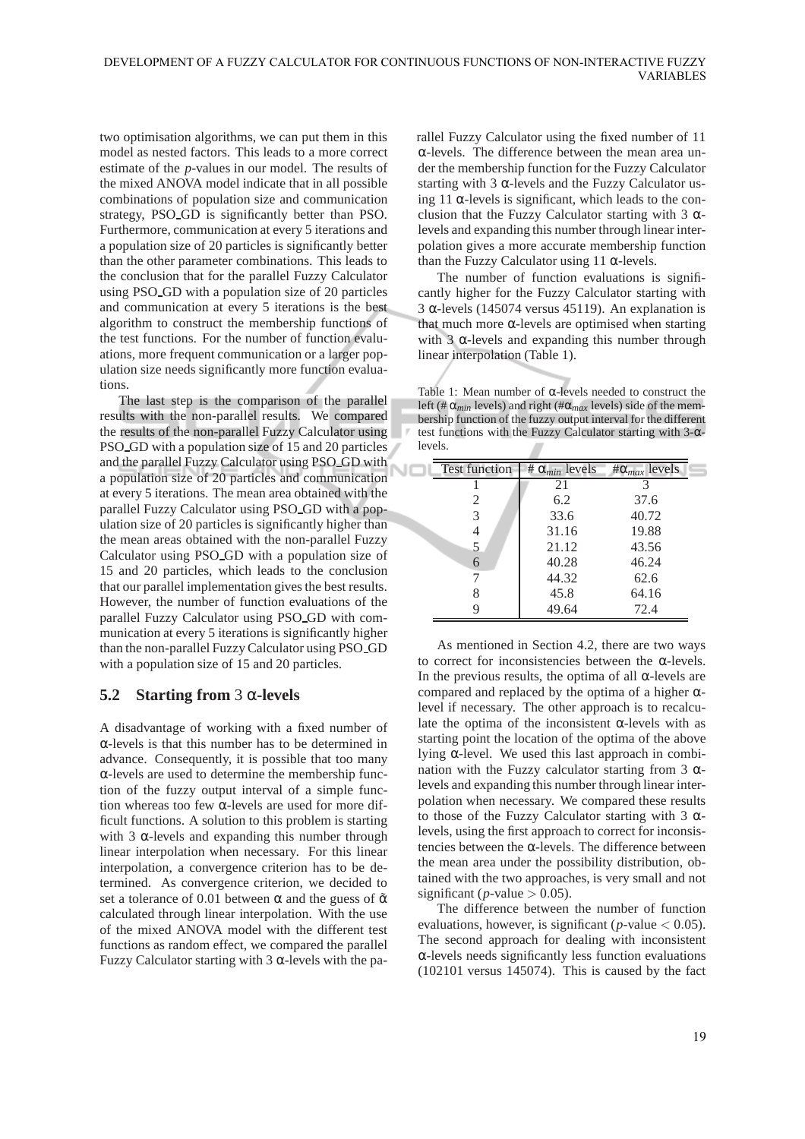two optimisation algorithms, we can put them in this model as nested factors. This leads to a more correct estimate of the *p*-values in our model. The results of the mixed ANOVA model indicate that in all possible combinations of population size and communication strategy, PSO GD is significantly better than PSO. Furthermore, communication at every 5 iterations and a population size of 20 particles is significantly better than the other parameter combinations. This leads to the conclusion that for the parallel Fuzzy Calculator using PSO GD with a population size of 20 particles and communication at every 5 iterations is the best algorithm to construct the membership functions of the test functions. For the number of function evaluations, more frequent communication or a larger population size needs significantly more function evaluations.

The last step is the comparison of the parallel results with the non-parallel results. We compared the results of the non-parallel Fuzzy Calculator using PSO GD with a population size of 15 and 20 particles and the parallel Fuzzy Calculator using PSO GD with NC a population size of 20 particles and communication at every 5 iterations. The mean area obtained with the parallel Fuzzy Calculator using PSO GD with a population size of 20 particles is significantly higher than the mean areas obtained with the non-parallel Fuzzy Calculator using PSO GD with a population size of 15 and 20 particles, which leads to the conclusion that our parallel implementation gives the best results. However, the number of function evaluations of the parallel Fuzzy Calculator using PSO GD with communication at every 5 iterations is significantly higher than the non-parallel Fuzzy Calculator using PSO GD with a population size of 15 and 20 particles.

## **5.2 Starting from** 3 α**-levels**

A disadvantage of working with a fixed number of α-levels is that this number has to be determined in advance. Consequently, it is possible that too many α-levels are used to determine the membership function of the fuzzy output interval of a simple function whereas too few α-levels are used for more difficult functions. A solution to this problem is starting with 3  $\alpha$ -levels and expanding this number through linear interpolation when necessary. For this linear interpolation, a convergence criterion has to be determined. As convergence criterion, we decided to set a tolerance of 0.01 between  $\alpha$  and the guess of  $\tilde{\alpha}$ calculated through linear interpolation. With the use of the mixed ANOVA model with the different test functions as random effect, we compared the parallel Fuzzy Calculator starting with 3 α-levels with the parallel Fuzzy Calculator using the fixed number of 11 α-levels. The difference between the mean area under the membership function for the Fuzzy Calculator starting with 3 α-levels and the Fuzzy Calculator using 11  $\alpha$ -levels is significant, which leads to the conclusion that the Fuzzy Calculator starting with 3  $\alpha$ levels and expanding this number through linear interpolation gives a more accurate membership function than the Fuzzy Calculator using 11  $\alpha$ -levels.

The number of function evaluations is significantly higher for the Fuzzy Calculator starting with 3 α-levels (145074 versus 45119). An explanation is that much more  $α$ -levels are optimised when starting with 3  $\alpha$ -levels and expanding this number through linear interpolation (Table 1).

Table 1: Mean number of α-levels needed to construct the left (# α*min* levels) and right (#α*max* levels) side of the membership function of the fuzzy output interval for the different test functions with the Fuzzy Calculator starting with 3-αlevels. л

| <b>Test function</b> | # $\alpha_{min}$ levels | $\#\alpha_{max}$ levels |
|----------------------|-------------------------|-------------------------|
|                      | 21                      | 3                       |
| 2                    | 6.2                     | 37.6                    |
| 3                    | 33.6                    | 40.72                   |
| 4                    | 31.16                   | 19.88                   |
| 5                    | 21.12                   | 43.56                   |
| 6                    | 40.28                   | 46.24                   |
|                      | 44.32                   | 62.6                    |
|                      | 45.8                    | 64.16                   |
|                      | 49.64                   | 72.4                    |

As mentioned in Section 4.2, there are two ways to correct for inconsistencies between the α-levels. In the previous results, the optima of all  $\alpha$ -levels are compared and replaced by the optima of a higher  $\alpha$ level if necessary. The other approach is to recalculate the optima of the inconsistent α-levels with as starting point the location of the optima of the above lying α-level. We used this last approach in combination with the Fuzzy calculator starting from 3  $α$ levels and expanding this number through linear interpolation when necessary. We compared these results to those of the Fuzzy Calculator starting with 3 αlevels, using the first approach to correct for inconsistencies between the α-levels. The difference between the mean area under the possibility distribution, obtained with the two approaches, is very small and not significant ( $p$ -value  $> 0.05$ ).

The difference between the number of function evaluations, however, is significant ( $p$ -value  $< 0.05$ ). The second approach for dealing with inconsistent α-levels needs significantly less function evaluations (102101 versus 145074). This is caused by the fact